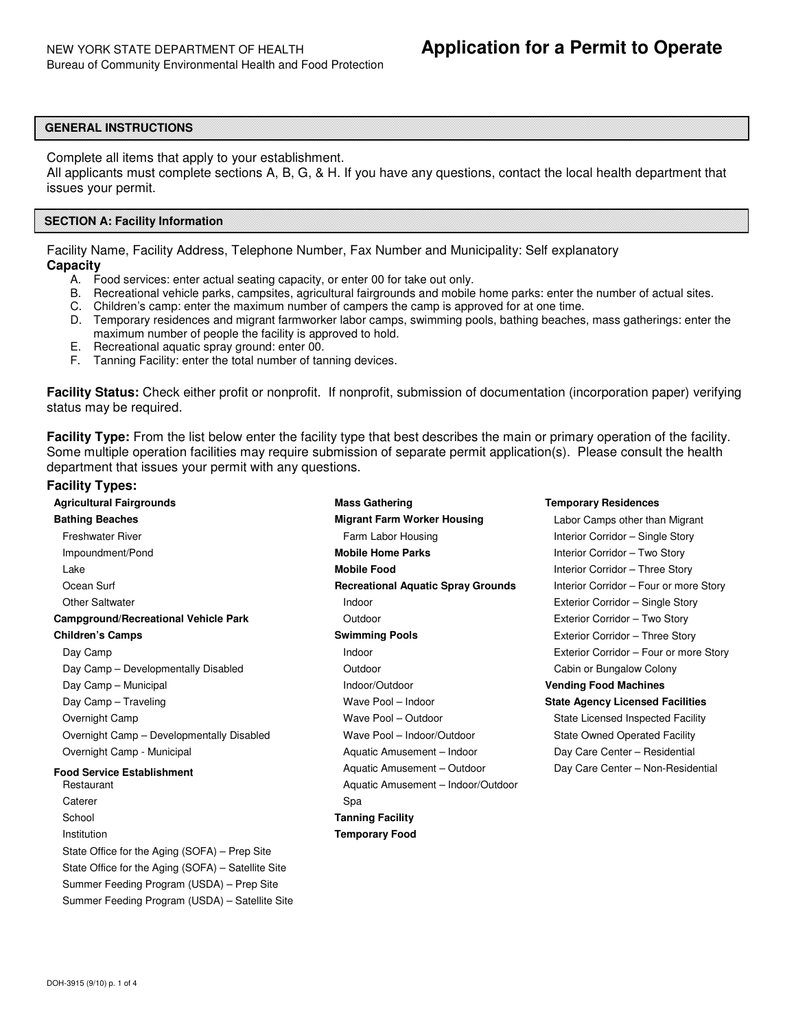# **GENERAL INSTRUCTIONS**

Complete all items that apply to your establishment.

 All applicants must complete sections A, B, G, & H. If you have any questions, contact the local health department that issues your permit.

## **SECTION A: Facility Information**

 Facility Name, Facility Address, Telephone Number, Fax Number and Municipality: Self explanatory **Capacity** 

- A. Food services: enter actual seating capacity, or enter 00 for take out only.
- B. Recreational vehicle parks, campsites, agricultural fairgrounds and mobile home parks: enter the number of actual sites.
- C. Children's camp: enter the maximum number of campers the camp is approved for at one time.
- D. Temporary residences and migrant farmworker labor camps, swimming pools, bathing beaches, mass gatherings: enter the maximum number of people the facility is approved to hold.
- E. Recreational aquatic spray ground: enter 00.
- F. Tanning Facility: enter the total number of tanning devices.

 **Facility Status:** Check either profit or nonprofit. If nonprofit, submission of documentation (incorporation paper) verifying status may be required.

 **Facility Type:** From the list below enter the facility type that best describes the main or primary operation of the facility. Some multiple operation facilities may require submission of separate permit application(s). Please consult the health department that issues your permit with any questions.

# **Facility Types:**

| <b>Agricultural Fairgrounds</b>                    | <b>Mass Gathering</b>                     | <b>Temporary Residences</b>                                       |  |  |
|----------------------------------------------------|-------------------------------------------|-------------------------------------------------------------------|--|--|
| <b>Bathing Beaches</b>                             | <b>Migrant Farm Worker Housing</b>        | Labor Camps other than Migrant                                    |  |  |
| <b>Freshwater River</b>                            | Farm Labor Housing                        | Interior Corridor - Single Story<br>Interior Corridor - Two Story |  |  |
| Impoundment/Pond                                   | <b>Mobile Home Parks</b>                  |                                                                   |  |  |
| Lake                                               | <b>Mobile Food</b>                        | Interior Corridor - Three Story                                   |  |  |
| Ocean Surf                                         | <b>Recreational Aquatic Spray Grounds</b> | Interior Corridor - Four or more Story                            |  |  |
| <b>Other Saltwater</b>                             | Indoor                                    | Exterior Corridor - Single Story                                  |  |  |
| <b>Campground/Recreational Vehicle Park</b>        | Outdoor                                   | Exterior Corridor - Two Story                                     |  |  |
| <b>Children's Camps</b>                            | <b>Swimming Pools</b>                     | Exterior Corridor - Three Story                                   |  |  |
| Day Camp                                           | Indoor                                    | Exterior Corridor - Four or more Story                            |  |  |
| Day Camp - Developmentally Disabled                | Outdoor                                   | Cabin or Bungalow Colony                                          |  |  |
| Day Camp - Municipal                               | Indoor/Outdoor                            | <b>Vending Food Machines</b>                                      |  |  |
| Day Camp - Traveling                               | Wave Pool - Indoor                        | <b>State Agency Licensed Facilities</b>                           |  |  |
| Overnight Camp                                     | Wave Pool - Outdoor                       | State Licensed Inspected Facility                                 |  |  |
| Overnight Camp - Developmentally Disabled          | Wave Pool - Indoor/Outdoor                | <b>State Owned Operated Facility</b>                              |  |  |
| Overnight Camp - Municipal                         | Aquatic Amusement - Indoor                | Day Care Center - Residential                                     |  |  |
| <b>Food Service Establishment</b>                  | Aquatic Amusement - Outdoor               | Day Care Center - Non-Residential                                 |  |  |
| Restaurant                                         | Aquatic Amusement - Indoor/Outdoor        |                                                                   |  |  |
| Caterer                                            | Spa                                       |                                                                   |  |  |
| School                                             | <b>Tanning Facility</b>                   |                                                                   |  |  |
| Institution                                        | <b>Temporary Food</b>                     |                                                                   |  |  |
| State Office for the Aging (SOFA) – Prep Site      |                                           |                                                                   |  |  |
| State Office for the Aging (SOFA) - Satellite Site |                                           |                                                                   |  |  |
| Summer Feeding Program (USDA) - Prep Site          |                                           |                                                                   |  |  |
| Summer Feeding Program (USDA) - Satellite Site     |                                           |                                                                   |  |  |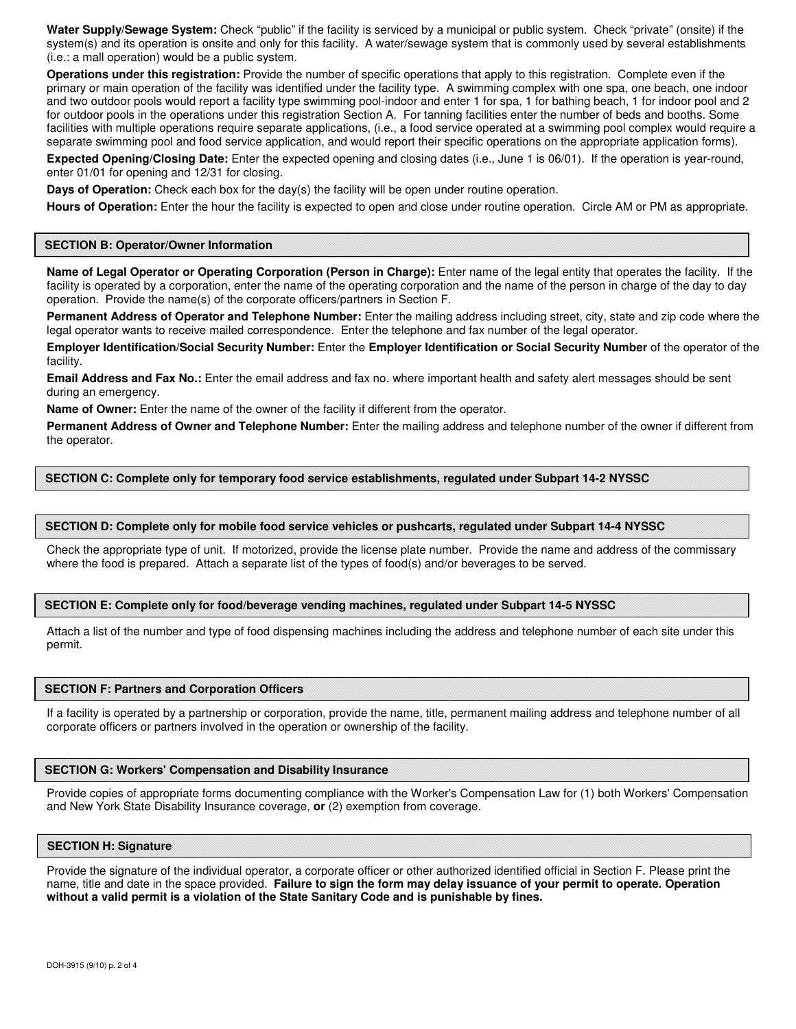**Water Supply/Sewage System:** Check "public" if the facility is serviced by a municipal or public system. Check "private" (onsite) if the system(s) and its operation is onsite and only for this facility. A water/sewage system that is commonly used by several establishments (i.e.: a mall operation) would be a public system.

 **Operations under this registration:** Provide the number of specific operations that apply to this registration. Complete even if the primary or main operation of the facility was identified under the facility type. A swimming complex with one spa, one beach, one indoor and two outdoor pools would report a facility type swimming pool-indoor and enter 1 for spa, 1 for bathing beach, 1 for indoor pool and 2 for outdoor pools in the operations under this registration Section A. For tanning facilities enter the number of beds and booths. Some facilities with multiple operations require separate applications, (i.e., a food service operated at a swimming pool complex would require a separate swimming pool and food service application, and would report their specific operations on the appropriate application forms).

 **Expected Opening/Closing Date:** Enter the expected opening and closing dates (i.e., June 1 is 06/01). If the operation is year-round, enter 01/01 for opening and 12/31 for closing.

**Days of Operation:** Check each box for the day(s) the facility will be open under routine operation.

**Hours of Operation:** Enter the hour the facility is expected to open and close under routine operation. Circle AM or PM as appropriate.

### **SECTION B: Operator/Owner Information**

 **Name of Legal Operator or Operating Corporation (Person in Charge):** Enter name of the legal entity that operates the facility. If the facility is operated by a corporation, enter the name of the operating corporation and the name of the person in charge of the day to day operation. Provide the name(s) of the corporate officers/partners in Section F.

 **Permanent Address of Operator and Telephone Number:** Enter the mailing address including street, city, state and zip code where the legal operator wants to receive mailed correspondence. Enter the telephone and fax number of the legal operator.

 **Employer Identification/Social Security Number:** Enter the **Employer Identification or Social Security Number** of the operator of the facility.

**Email Address and Fax No.:** Enter the email address and fax no. where important health and safety alert messages should be sent during an emergency.

 **Name of Owner:** Enter the name of the owner of the facility if different from the operator.

 **Permanent Address of Owner and Telephone Number:** Enter the mailing address and telephone number of the owner if different from the operator.

## **SECTION C: Complete only for temporary food service establishments, regulated under Subpart 14-2 NYSSC**

## **SECTION D: Complete only for mobile food service vehicles or pushcarts, regulated under Subpart 14-4 NYSSC**

 Check the appropriate type of unit. If motorized, provide the license plate number. Provide the name and address of the commissary where the food is prepared. Attach a separate list of the types of food(s) and/or beverages to be served.

## **SECTION E: Complete only for food/beverage vending machines, regulated under Subpart 14-5 NYSSC**

 Attach a list of the number and type of food dispensing machines including the address and telephone number of each site under this permit.

### **SECTION F: Partners and Corporation Officers**

 If a facility is operated by a partnership or corporation, provide the name, title, permanent mailing address and telephone number of all corporate officers or partners involved in the operation or ownership of the facility.

## **SECTION G: Workers' Compensation and Disability Insurance**

 Provide copies of appropriate forms documenting compliance with the Worker's Compensation Law for (1) both Workers' Compensation and New York State Disability Insurance coverage, **or** (2) exemption from coverage.

#### **SECTION H: Signature**

 Provide the signature of the individual operator, a corporate officer or other authorized identified official in Section F. Please print the name, title and date in the space provided. **Failure to sign the form may delay issuance of your permit to operate. Operation without a valid permit is a violation of the State Sanitary Code and is punishable by fines.**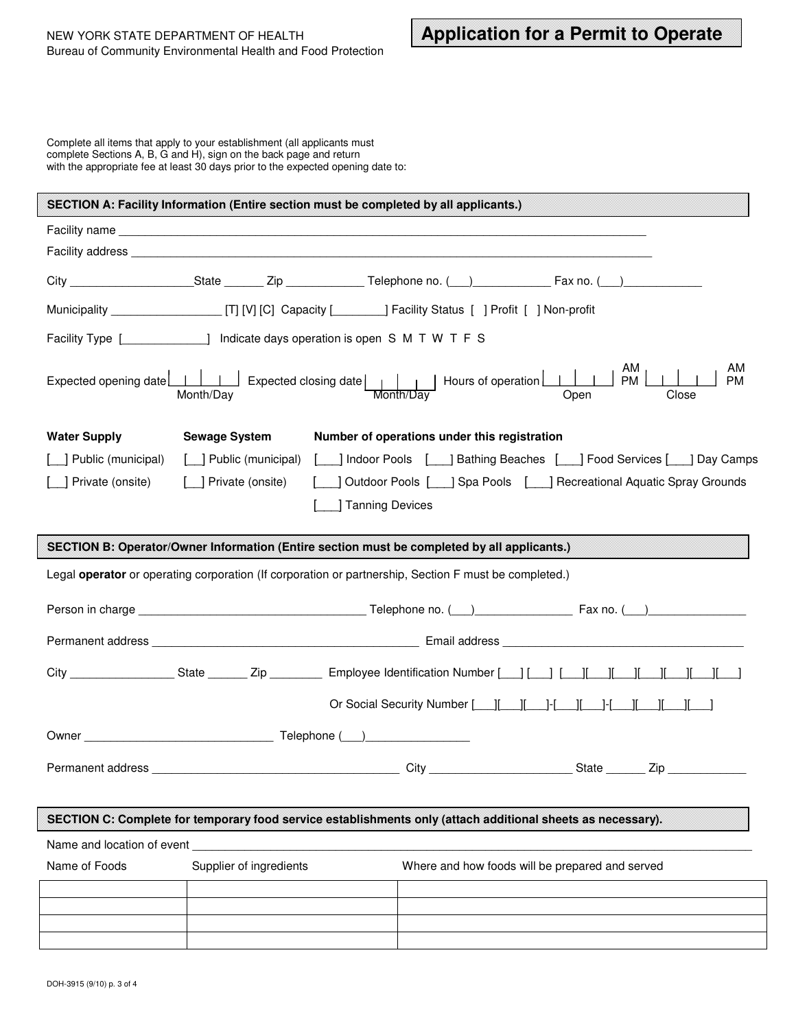Complete all items that apply to your establishment (all applicants must complete Sections A, B, G and H), sign on the back page and return with the appropriate fee at least 30 days prior to the expected opening date to:

| SECTION A: Facility Information (Entire section must be completed by all applicants.)                       |                                                                                             |                                                                                                                                                                                                              |  |  |  |  |
|-------------------------------------------------------------------------------------------------------------|---------------------------------------------------------------------------------------------|--------------------------------------------------------------------------------------------------------------------------------------------------------------------------------------------------------------|--|--|--|--|
|                                                                                                             |                                                                                             |                                                                                                                                                                                                              |  |  |  |  |
|                                                                                                             |                                                                                             |                                                                                                                                                                                                              |  |  |  |  |
|                                                                                                             |                                                                                             |                                                                                                                                                                                                              |  |  |  |  |
|                                                                                                             |                                                                                             |                                                                                                                                                                                                              |  |  |  |  |
| Facility Type [ ] Indicate days operation is open S M T W T F S                                             |                                                                                             |                                                                                                                                                                                                              |  |  |  |  |
|                                                                                                             | Month/Day<br>Month/Dav                                                                      | AM<br>AM  <br><b>PM</b><br><b>PM</b><br>Open<br>Close                                                                                                                                                        |  |  |  |  |
| <b>Water Supply</b>                                                                                         | Number of operations under this registration<br><b>Sewage System</b>                        |                                                                                                                                                                                                              |  |  |  |  |
| Public (municipal)                                                                                          | [ ] Public (municipal)                                                                      | [100] Indoor Pools [100] Bathing Beaches [100] Food Services [100] Day Camps                                                                                                                                 |  |  |  |  |
| ] Private (onsite)                                                                                          | [ ] Private (onsite)                                                                        | Outdoor Pools [ ] Spa Pools [ ] Recreational Aquatic Spray Grounds                                                                                                                                           |  |  |  |  |
|                                                                                                             | Tanning Devices                                                                             |                                                                                                                                                                                                              |  |  |  |  |
|                                                                                                             | SECTION B: Operator/Owner Information (Entire section must be completed by all applicants.) |                                                                                                                                                                                                              |  |  |  |  |
| Legal operator or operating corporation (If corporation or partnership, Section F must be completed.)       |                                                                                             |                                                                                                                                                                                                              |  |  |  |  |
|                                                                                                             |                                                                                             |                                                                                                                                                                                                              |  |  |  |  |
|                                                                                                             |                                                                                             | Permanent address <b>Email address Email address Email address Email address Email address Email address Email address Email address Email address Email address Email address Email address Email addre</b> |  |  |  |  |
|                                                                                                             |                                                                                             |                                                                                                                                                                                                              |  |  |  |  |
|                                                                                                             |                                                                                             |                                                                                                                                                                                                              |  |  |  |  |
|                                                                                                             |                                                                                             |                                                                                                                                                                                                              |  |  |  |  |
| Permanent address                                                                                           | City                                                                                        | State _________ Zip                                                                                                                                                                                          |  |  |  |  |
|                                                                                                             |                                                                                             |                                                                                                                                                                                                              |  |  |  |  |
| SECTION C: Complete for temporary food service establishments only (attach additional sheets as necessary). |                                                                                             |                                                                                                                                                                                                              |  |  |  |  |
| Name and location of event                                                                                  |                                                                                             |                                                                                                                                                                                                              |  |  |  |  |
| Name of Foods                                                                                               | Supplier of ingredients                                                                     | Where and how foods will be prepared and served                                                                                                                                                              |  |  |  |  |
|                                                                                                             |                                                                                             |                                                                                                                                                                                                              |  |  |  |  |
|                                                                                                             |                                                                                             |                                                                                                                                                                                                              |  |  |  |  |
|                                                                                                             |                                                                                             |                                                                                                                                                                                                              |  |  |  |  |